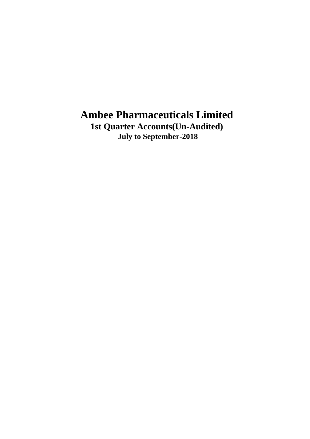**1st Quarter Accounts(Un-Audited) July to September-2018**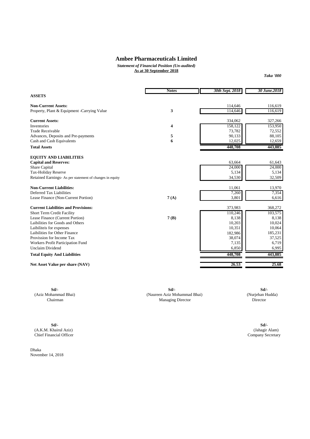*Statement of Financial Position (Un-audited)* **As at 30 September 2018**

 *Taka '000* 

|                                                          | <b>Notes</b> | 30th Sept. 2018 | 30 June.2018 |
|----------------------------------------------------------|--------------|-----------------|--------------|
| <b>ASSETS</b>                                            |              |                 |              |
|                                                          |              |                 |              |
| <b>Non-Current Assets:</b>                               |              | 114,646         | 116,619      |
| Property, Plant & Equipment -Carrying Value              | 3            | 114,646         | 116,619      |
| <b>Current Assets:</b>                                   |              | 334,062         | 327,266      |
| <b>Inventories</b>                                       | 4            | 158,122         | 153,950      |
| <b>Trade Receivable</b>                                  |              | 73,782          | 72,552       |
| Advances, Deposits and Pre-payments                      | 5            | 90,133          | 88,105       |
| Cash and Cash Equivalents                                | 6            | 12,025          | 12,659       |
| <b>Total Assets</b>                                      |              | 448,708         | 443,885      |
| <b>EQUITY AND LIABILITIES</b>                            |              |                 |              |
| <b>Capital and Reserves:</b>                             |              | 63,664          | 61,643       |
| <b>Share Capital</b>                                     |              | 24,000          | 24,000       |
| <b>Tax-Holiday Reserve</b>                               |              | 5,134           | 5,134        |
| Retained Earnings- As per statement of changes in equity |              | 34,530          | 32,509       |
|                                                          |              |                 |              |
| <b>Non-Current Liabilities:</b>                          |              | 11,061          | 13,970       |
| Deferred Tax Liabilities                                 |              | 7,260           | 7,354        |
| Lease Finance (Non-Current Portion)                      | 7(A)         | 3,801           | 6,616        |
| <b>Current Liabilities and Provisions:</b>               |              | 373,983         | 368,272      |
| Short Term Credit Facility                               |              | 110,246         | 103,575      |
| Lease Finance (Current Portion)                          | 7(B)         | 8,138           | 8,138        |
| Laibilities for Goods and Others                         |              | 10,203          | 10,024       |
| Laibiliteis for expenses                                 |              | 10,351          | 10,064       |
| Laibilities for Other Finance                            |              | 182,986         | 185,231      |
| Provission for Income Tax                                |              | 38,074          | 37,525       |
| Workers Profit Participation Fund                        |              | 7,135           | 6,719        |
| Unclaim Dividend                                         |              | 6,850           | 6,995        |
| <b>Total Equity And Liabilities</b>                      |              | 448,708         | 443,885      |
|                                                          |              | 26.53           | 25.68        |
| Net Asset Value per share (NAV)                          |              |                 |              |

**Sd/- Sd/- Sd/- Sd/- C**<br>(Aziz Mohammad Bhai) **Sd/- Chairman Chairman Sd/- Chairman Sd/- Chairman Sd/- Chairman Sd/- Chairman Sd/- Chairman Sd/- Chairman Sd/- Chairman Sd/- Chairm** (Aziz Mohammad Bhai) (Naureen Aziz Mohammad Bhai) (Nurjehan Hudda) Chairman Managing Director Director

**Sd/- Sd/-** (A.K.M. Khairul Aziz) (Jahagir Alam)

Dhaka November 14, 2018

Chief Financial Officer Company Secretary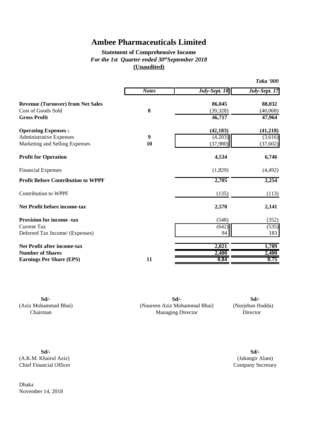### **Statement of Comprehensive Income (Unaudited)** *For the 1st Quarter ended 30thSeptember 2018*

|                                           |              |               | <b>Taka '000</b> |
|-------------------------------------------|--------------|---------------|------------------|
|                                           | <b>Notes</b> | July-Sept. 18 | July-Sept. 17    |
| <b>Revenue (Turnover) from Net Sales</b>  |              | 86,045        | 88,032           |
| <b>Cost of Goods Sold</b>                 | 8            | (39, 328)     | (40,068)         |
| <b>Gross Profit</b>                       |              | 46,717        | 47,964           |
| <b>Operating Expenses:</b>                |              | (42, 183)     | (41,218)         |
| <b>Administrative Expenses</b>            | 9            | (4,203)       | (3,616)          |
| Marketing and Selling Expenses            | 10           | (37, 980)     | (37, 602)        |
| <b>Profit for Operation</b>               |              | 4,534         | 6,746            |
| <b>Financial Expenses</b>                 |              | (1,829)       | (4, 492)         |
| <b>Profit Before Contribution to WPPF</b> |              | 2,705         | 2,254            |
| <b>Contribution to WPPF</b>               |              | (135)         | (113)            |
| <b>Net Profit before income-tax</b>       |              | 2,570         | 2,141            |
| <b>Provision for income -tax</b>          |              | (548)         | (352)            |
| <b>Current Tax</b>                        |              | (642)         | (535)            |
| Deferred Tax Income/ (Expenses)           |              | 94            | 183              |
| <b>Net Profit after income-tax</b>        |              | 2,021         | 1,789            |
| <b>Number of Shares</b>                   |              | 2,400         | 2,400            |
| <b>Earnings Per Share (EPS)</b>           | 11           | 0.84          | 0.75             |
|                                           |              |               |                  |

**Sd/- Sd/- Sd/-** (Aziz Mohammad Bhai) (Naureen Aziz Mohammad Bhai) (Nurjehan Hudda) Chairman Managing Director Director Director

**Sd/- Sd/-** (A.K.M. Khairul Aziz) (Jahangir Alam) Chief Financial Officer Company Secretary

November 14, 2018

Dhaka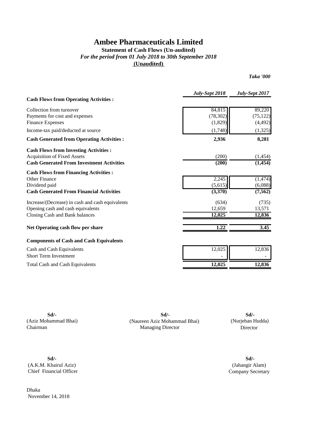#### **Statement of Cash Flows (Un-audited)** *For the period from 01 July 2018 to 30th September 2018*  **(Unaudited)**

*Taka '000*

|                                                  | July-Sept 2018 | July-Sept 2017 |
|--------------------------------------------------|----------------|----------------|
| <b>Cash Flows from Operating Activities :</b>    |                |                |
| Collection from turnover                         | 84,815         | 89,220         |
| Payments for cost and expenses                   | (78, 302)      | (75, 122)      |
| <b>Finance Expenses</b>                          | (1,829)        | (4, 492)       |
| Income-tax paid/deducted at source               | (1,748)        | (1, 325)       |
| <b>Cash Generated from Operating Activities:</b> | 2,936          | 8,281          |
| <b>Cash Flows from Investing Activities:</b>     |                |                |
| <b>Acquisition of Fixed Assets</b>               | (200)          | (1, 454)       |
| <b>Cash Generated From Investment Activities</b> | (200)          | (1, 454)       |
| <b>Cash Flows from Financing Activities:</b>     |                |                |
| <b>Other Finance</b>                             | 2,245          | (1, 474)       |
| Dividend paid                                    | (5,615)        | (6,088)        |
| <b>Cash Generated From Financial Activities</b>  | (3,370)        | (7, 562)       |
| Increase/(Decrease) in cash and cash equivalents | (634)          | (735)          |
| Opening cash and cash equivalents                | 12,659         | 13,571         |
| Closing Cash and Bank balances                   | 12,025         | 12,836         |
| Net Operating cash flow per share                | 1.22           | 3.45           |
| <b>Components of Cash and Cash Equivalents</b>   |                |                |
| Cash and Cash Equivalents                        | 12,025         | 12,836         |
| <b>Short Term Investment</b>                     |                |                |
| <b>Total Cash and Cash Equivalents</b>           | 12,025         | 12,836         |

**Sd/- Sd/- Sd/-** (Aziz Mohammad Bhai) (Naureen Aziz Mohammad Bhai) (Nurjehan Hudda) Chairman **Chairman** Director **Managing Director Director** 

**Sd/- Sd/-** (A.K.M. Khairul Aziz) (Jahangir Alam) Chief Financial Officer Company Secretary

Dhaka November 14, 2018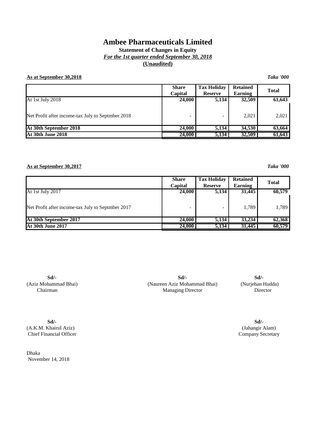### **Statement of Changes in Equity** *For the 1st quarter ended September 30, 2018* **(Unaudited)**

#### **As at September 30,2018** *Taka '000*

|                                                   | <b>Share</b><br><b>Capital</b> | <b>Tax Holiday</b><br><b>Reserve</b> | <b>Retained</b><br><b>Earning</b> | <b>Total</b> |
|---------------------------------------------------|--------------------------------|--------------------------------------|-----------------------------------|--------------|
| At 1st July 2018                                  | 24,000                         | 5,134                                | 32,509                            | 61,643       |
| Net Profit after income-tax July to Septmber 2018 | $\overline{\phantom{a}}$       |                                      | 2,021                             | 2,021        |
| At 30th September 2018                            | 24,000                         | 5,134                                | 34,530                            | 63,664       |
| At 30th June 2018                                 | 24,000                         | 5,134                                | 32,509                            | 61,643       |

#### **As at September 30,2017** *Taka '000*

|                                                   | Share<br><b>Capital</b> | <b>Tax Holiday</b><br><b>Reserve</b> | <b>Retained</b><br>Earning | <b>Total</b> |
|---------------------------------------------------|-------------------------|--------------------------------------|----------------------------|--------------|
| At 1st July 2017                                  | 24,000                  | 5,134                                | 31,445                     | 60,579       |
| Net Profit after income-tax July to Septmber 2017 | -                       |                                      | 1.789                      | 1,789        |
| At 30th September 2017                            | 24,000                  | 5,134                                | 33,234                     | 62,368       |
| At 30th June 2017                                 | 24,000                  | 5,134                                | 31,445                     | 60,579       |

**Sd/- Sd/-**

(A.K.M. Khairul Aziz) (Jahangir Alam) Chief Financial Officer

Dhaka November 14, 2018

**Sd/- Sd/- Sd/-** (Aziz Mohammad Bhai) (Naureen Aziz Mohammad Bhai) (Nurjehan Hudda) Chairman **Managing Director** Director **Director**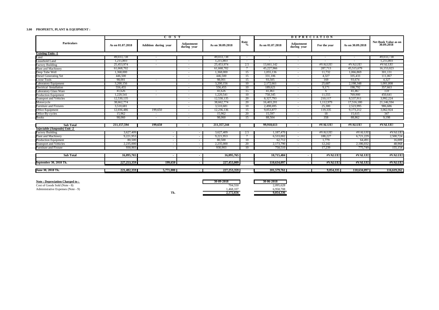#### **3.00 PROPERTY, PLANT & EQUIPMENT :**

|                                |                  | $\overline{C}$ $\overline{O}$ $\overline{S}$ $\overline{T}$ |                           |                  |                 | <b>DEPRECIATION</b>      |                           |              |                  |                                           |
|--------------------------------|------------------|-------------------------------------------------------------|---------------------------|------------------|-----------------|--------------------------|---------------------------|--------------|------------------|-------------------------------------------|
| <b>Particulars</b>             | As on 01.07.2018 | Addition during year                                        | Adjustment<br>during year | As on 30.09.2018 | Rate<br>$\%$    | As on 01.07.2018         | Adjustment<br>during year | For the year | As on 30,09,2018 | <b>Net Book Value as on</b><br>30.09.2018 |
| <b>Existing Units -1</b>       |                  |                                                             |                           |                  |                 |                          |                           |              |                  |                                           |
| Land                           | 49.033.738       | $\overline{\phantom{a}}$                                    |                           | 49,033,738       |                 | $\overline{\phantom{a}}$ |                           |              |                  | 49,033,738                                |
| Leasehold Land                 | 1,215,803        |                                                             |                           | 1,215,803        |                 |                          |                           |              |                  | 1,215,803                                 |
| <b>Factory Building</b>        | 25,453,974       |                                                             | $\overline{\phantom{a}}$  | 25,453,974       | 2.5             | 13,661,142               | $\overline{\phantom{a}}$  | #VALUE!      | #VALUE!          | #VALUE!                                   |
| Plant and Machinery            | 61,668,702       |                                                             | $\overline{\phantom{a}}$  | 61,668,702       |                 | 45,227,966               | $\overline{\phantom{a}}$  | 287,713      | 45,515,679       | 16,153,023                                |
| Deep Tube Well                 | 1,368,000        |                                                             | $\sim$                    | 1,368,000        | 15              | 1,055,136                | $\overline{\phantom{a}}$  | 11,732       | 1,066,869        | 301,131                                   |
| <b>Diesel Generating Set</b>   | 446,500          |                                                             | $\sim$                    | 446,500          | 15              | 331,106                  | $\overline{\phantom{a}}$  | 4,327        | 335,433          | 111,067                                   |
| <b>Loose Tools</b>             | 98,001           | $\sim$                                                      | $\sim$                    | 98,001           | 15              | 93,505                   | $\overline{\phantom{a}}$  | 169          | 93,674           | 4.327                                     |
| <b>Laboratory Equipment</b>    | 3,200,156        |                                                             | $\sim$                    | 3.200.156        | 10 <sup>1</sup> | 2,172,661                | $\overline{\phantom{a}}$  | 25,687       | 2,198,348        | 1,001,808                                 |
| <b>Electrical Installation</b> | 556,455          |                                                             | $\sim$                    | 556,455          | $10^{-}$        | 189,621                  | $\overline{\phantom{a}}$  | 9,171        | 198,792          | 357,663                                   |
| <b>Laboratory Glass Ware</b>   | 41.626           | $\sim$                                                      | $\sim$                    | 41.626           | $\overline{15}$ | 41,461                   | $\overline{\phantom{a}}$  | -6           | 41,467           | 159                                       |
| <b>Production Equipment</b>    | 1,220,541        | $\sim$                                                      | $\sim$                    | 1.220.541        | 10              | 758,345                  | $\overline{\phantom{a}}$  | 11.555       | 769,900          | 450.641                                   |
| <b>Transport and Vehicles</b>  | 12.530.135       |                                                             | $\sim$                    | 12.530.135       | $20^{-}$        | 8.327.793                | $\overline{\phantom{a}}$  | 210.117      | 8.537.911        | 3.992.224                                 |
| Motorcycle                     | 38,662,774       |                                                             | $\sim$                    | 38,662,774       | 20              | 16,403,201               | $\overline{\phantom{a}}$  | 1.112.979    | 17.516.180       | 21,146,594                                |
| <b>Furniture and Fixtures</b>  | 3,510,681        |                                                             | $\overline{\phantom{a}}$  | 3,510,681        | 10              | 2.498,695                | $\overline{\phantom{a}}$  | 25,300       | 2,523,995        | 986,686                                   |
| Office Equipment               | 12,036,486       | 199,650                                                     | $\sim$                    | 12,236,136       | 15              | 9.053.877                | $\overline{\phantom{a}}$  | 119.335      | 9,173,212        | 3,062,924                                 |
| Office By-cycles               | 15,962           | $\sim$                                                      | $\overline{\phantom{a}}$  | 15,962           | 20              | 15,597                   | $\overline{\phantom{a}}$  | 18           | 15,615           | 347                                       |
| <b>Books</b>                   | 98,060           | $\sim$                                                      | $\overline{\phantom{a}}$  | 98,060           | 15              | 88,504                   | $\overline{\phantom{a}}$  | 358          | 88,862           | 9.198                                     |
| <b>Sub Total</b>               | 211,157,594      | 199,650                                                     | $\overline{\phantom{a}}$  | 211,357,244      |                 | 99.918.613               |                           | #VALUE       | #VALUE!          | #VALUE!                                   |
| Injectable (Ampoule) Unit -2   |                  |                                                             |                           |                  |                 |                          |                           |              |                  |                                           |
| <b>Factory Building</b>        | 3,627,409        |                                                             |                           | 3.627.409        | 2.5             | 1,187,470                |                           | #VALUE!      | #VALUE!          | #VALUE                                    |
| Plant and Machinery            | 9,221,953        |                                                             |                           | 9,221,953        |                 | 6.533,002                |                           | 188,227      | 6,721,229        | 2,500,724                                 |
| <b>Production Equipment</b>    | 80,500           |                                                             |                           | 80,500           | $10^{-}$        | 62,712                   | $\sim$                    | 1.779        | 64,491           | 16,009                                    |
| <b>Transport and Vehicles</b>  | 2.235,000        |                                                             |                           | 2,235,000        | 20              | 2,173,790                | $\overline{\phantom{a}}$  | 12,242       | 2,186,032        | 48,968                                    |
| Furniture and Fixture          | 930,903          |                                                             |                           | 930,903          | $10^{-}$        | 758,510                  |                           | 17.239       | 775,749          | 155,154                                   |
| <b>Sub Total</b>               | 16,095,765       |                                                             |                           | 16,095,765       |                 | 10,715,484               |                           | #VALUE       | #VALUE           | #VALUE                                    |
|                                |                  |                                                             |                           |                  |                 |                          |                           |              |                  |                                           |
| September 30, 2018 Tk.         | 227, 253, 359    | 199,650                                                     |                           | 227,453,009      |                 | 110,634,097              |                           | #VALUE!      | #VALUE!          | #VALUE!                                   |
| June 30, 2018 Tk               | 221,482,359      | 5,771,000                                                   |                           | 227, 253, 359    |                 | 101,579,761              |                           | 9.054.335    | 110,634,097      | 116,619,262                               |
|                                |                  |                                                             |                           |                  |                 |                          |                           |              |                  |                                           |

| Note: Depreciation Charged to:     |     | 30-09-2018 | 30-06-2018 |
|------------------------------------|-----|------------|------------|
| Cost of Goods Sold (Note - 8)      |     | 704.550    | 2.095.628  |
| Administrative Expenses (Note - 9) |     | .468.107   | 6.958.708  |
|                                    | Tk. | 2,172,656  | 9.054.336  |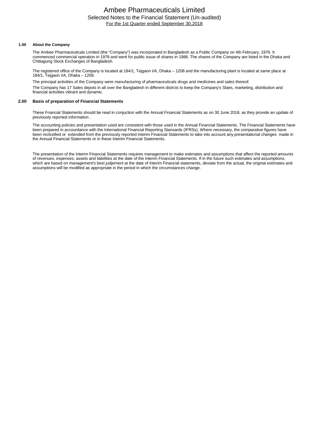#### Ambee Pharmaceuticals Limited Selected Notes to the Financial Statement (Un-audited) For the 1st Quarter ended September 30,2018

#### **1.00 About the Company**

The Ambee Pharmaceuticals Limited (the "Company") was incorporated in Bangladesh as a Public Company on 4th February, 1976. It commenced commercial operation in 1978 and went for public issue of shares in 1986. The shares of the Company are listed in the Dhaka and Chittagong Stock Exchanges of Bangladesh.

The registered office of the Company is located at 184/1, Tejgaon I/A, Dhaka – 1208 and the manufacturing plant is located at same place at 184/1, Tejgaon I/A, Dhaka – 1208.

The principal activities of the Company were manufacturing of pharmaceuticals drugs and medicines and sales thereof. The Company has 17 Sales depots in all over the Bangladesh in different distrcts to keep the Company's Slaes, marketing, distribution and financial activities vibrant and dynamic.

#### **2.00 Basis of preparation of Financial Statements**

These Fnancial Statements should be read in conjuction with the Annual Financial Statements as on 30 June 2018, as they provide an update of previously reported information .

The accounting policies and presentation used are consistent with those used in the Annual Financial Statements. The Financial Statements have been prepared in accourdance with the International Financial Reporting Stansards (IFRSs). Where necessary, the comparative figures have been reclssified or extended from the previously reported interim Financial Statements to take into account any presentational changes made in the Annual Financial Statements or in these Interim Financial Statements.

The presentation of the Interim Financial Statements requires management to make estimates and assumptions that affect the reported amounts of revenues, expenses, assets and liabilities at the date of the Interim Financial Statements. If in the future such estimates and assumptions, which are based on management's best judjement at the date of Interim Financial statements, deviate from the actual, the original estimates and assumptions will be modified as appropriate in the period in which the circumstances change.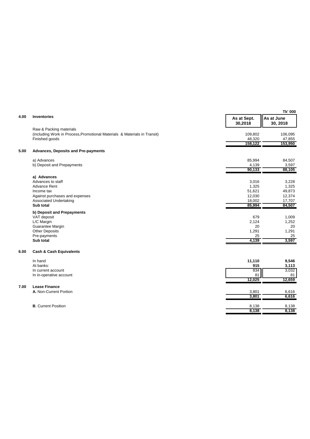|      |                                                                           |                        | Tk' 000                |
|------|---------------------------------------------------------------------------|------------------------|------------------------|
| 4.00 | <b>Inventories</b>                                                        | As at Sept.<br>30,2018 | As at June<br>30, 2018 |
|      | Raw & Packing materials                                                   |                        |                        |
|      | (including Work in Process, Promotional Materials & Materials in Transit) | 109,802                | 106,095                |
|      | Finished goods                                                            | 48,320                 | 47,855                 |
|      |                                                                           | 158,122                | 153,950                |
| 5.00 | <b>Advances, Deposits and Pre-payments</b>                                |                        |                        |
|      | a) Advances                                                               | 85,994                 | 84,507                 |
|      | b) Deposit and Prepayments                                                | 4,139                  | 3,597                  |
|      |                                                                           | 90,133                 | 88,105                 |
|      | a) Advances                                                               |                        |                        |
|      | Advances to staff                                                         | 3,016                  | 3,228                  |
|      | <b>Advance Rent</b>                                                       | 1,325                  | 1,325                  |
|      | Income tax                                                                | 51,621                 | 49,873                 |
|      | Against purchases and expenses                                            | 12,030                 | 12,374                 |
|      | <b>Associated Undertaking</b>                                             | 18,002                 | 17,707                 |
|      | Sub total                                                                 | 85,994                 | 84,507                 |
|      | b) Deposit and Prepayments                                                |                        |                        |
|      | VAT deposit                                                               | 679                    | 1,009                  |
|      | L/C Margin                                                                | 2,124                  | 1,252                  |
|      | Guarantee Margin                                                          | 20                     | 20                     |
|      | <b>Other Deposits</b>                                                     | 1,291                  | 1,291                  |
|      | Pre-payments                                                              | 25                     | 25                     |
|      | Sub total                                                                 | 4,139                  | 3,597                  |
| 6.00 | <b>Cash &amp; Cash Equivalents</b>                                        |                        |                        |
|      | In hand                                                                   | 11,110                 | 9,546                  |
|      | At banks:                                                                 | 915                    | 3,113                  |
|      | In current account                                                        | 834                    | 3,032                  |
|      | In in-operative account                                                   | 81                     | 81                     |
|      |                                                                           | 12,025                 | 12,659                 |
| 7.00 | <b>Lease Finance</b>                                                      |                        |                        |
|      | A. Non-Current Portion                                                    | 3,801                  | 6,616                  |
|      |                                                                           | 3,801                  | 6,616                  |
|      | <b>B.</b> Current Position                                                | 8,138                  | 8,138                  |
|      |                                                                           | 8,138                  | 8,138                  |
|      |                                                                           |                        |                        |